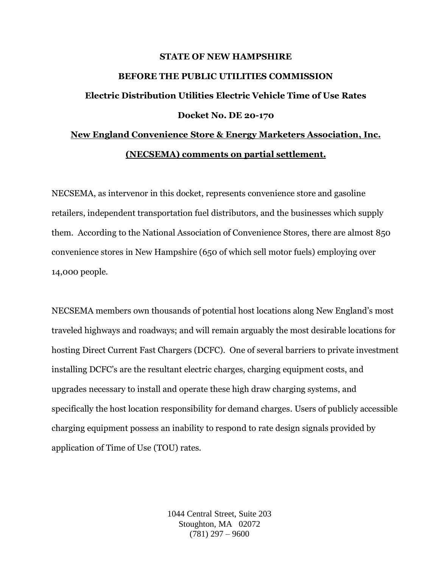## **STATE OF NEW HAMPSHIRE**

## **BEFORE THE PUBLIC UTILITIES COMMISSION**

## **Electric Distribution Utilities Electric Vehicle Time of Use Rates Docket No. DE 20-170**

## **New England Convenience Store & Energy Marketers Association, Inc. (NECSEMA) comments on partial settlement.**

NECSEMA, as intervenor in this docket, represents convenience store and gasoline retailers, independent transportation fuel distributors, and the businesses which supply them. According to the National Association of Convenience Stores, there are almost 850 convenience stores in New Hampshire (650 of which sell motor fuels) employing over 14,000 people.

NECSEMA members own thousands of potential host locations along New England's most traveled highways and roadways; and will remain arguably the most desirable locations for hosting Direct Current Fast Chargers (DCFC). One of several barriers to private investment installing DCFC's are the resultant electric charges, charging equipment costs, and upgrades necessary to install and operate these high draw charging systems, and specifically the host location responsibility for demand charges. Users of publicly accessible charging equipment possess an inability to respond to rate design signals provided by application of Time of Use (TOU) rates.

> 1044 Central Street, Suite 203 Stoughton, MA 02072  $(781)$  297 – 9600